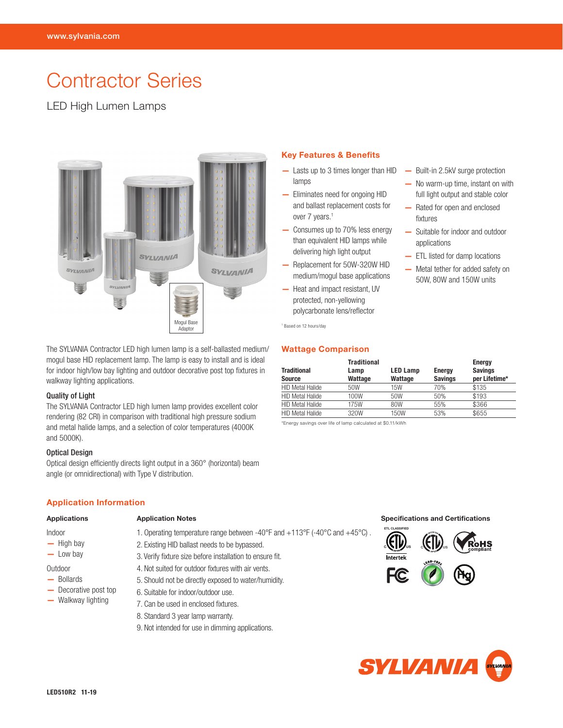# Contractor Series

# LED High Lumen Lamps



The SYLVANIA Contractor LED high lumen lamp is a self-ballasted medium/ mogul base HID replacement lamp. The lamp is easy to install and is ideal for indoor high/low bay lighting and outdoor decorative post top fixtures in walkway lighting applications.

## Quality of Light

The SYLVANIA Contractor LED high lumen lamp provides excellent color rendering (82 CRI) in comparison with traditional high pressure sodium and metal halide lamps, and a selection of color temperatures (4000K and 5000K).

#### Optical Design

Optical design efficiently directs light output in a 360° (horizontal) beam angle (or omnidirectional) with Type V distribution.

## Application Information

#### Applications

## Indoor

- High bay
- Low bay

# Outdoor

- Bollards
- Decorative post top
- Walkway lighting

1. Operating temperature range between -40°F and +113°F (-40°C and +45°C) .

2. Existing HID ballast needs to be bypassed. 3. Verify fixture size before installation to ensure fit. 4. Not suited for outdoor fixtures with air vents. 5. Should not be directly exposed to water/humidity.

9. Not intended for use in dimming applications.

6. Suitable for indoor/outdoor use. 7. Can be used in enclosed fixtures. 8. Standard 3 year lamp warranty.

# Key Features & Benefits

- Lasts up to 3 times longer than HID lamps
- Eliminates need for ongoing HID and ballast replacement costs for over 7 years.<sup>1</sup>
- Consumes up to 70% less energy than equivalent HID lamps while delivering high light output
- Replacement for 50W-320W HID medium/mogul base applications
- Heat and impact resistant, UV protected, non-yellowing polycarbonate lens/reflector

1 Based on 12 hours/day

# Wattage Comparison

Application Notes **Specifications** Specifications and Certifications

| <b>Traditional</b><br><b>Source</b> | <b>Traditional</b><br>Lamp<br>Wattage | <b>LED Lamp</b><br>Wattage | <b>Energy</b><br><b>Savings</b> | Energy<br><b>Savings</b><br>per Lifetime* |
|-------------------------------------|---------------------------------------|----------------------------|---------------------------------|-------------------------------------------|
| <b>HID Metal Halide</b>             | 50W                                   | 15W                        | 70%                             | \$135                                     |
| <b>HID Metal Halide</b>             | 100W                                  | 50W                        | 50%                             | \$193                                     |
| <b>HID Metal Halide</b>             | 175W                                  | 80W                        | 55%                             | \$366                                     |
| <b>HID Metal Halide</b>             | 320W                                  | 150W                       | 53%                             | \$655                                     |

\*Energy savings over life of lamp calculated at \$0.11/kWh

- Built-in 2.5kV surge protection
- No warm-up time, instant on with full light output and stable color
- Rated for open and enclosed fixtures
- Suitable for indoor and outdoor applications
- ETL listed for damp locations
- Metal tether for added safety on 50W, 80W and 150W units



**C US**

**ETL CLASSIFIED**



**CNILL**US